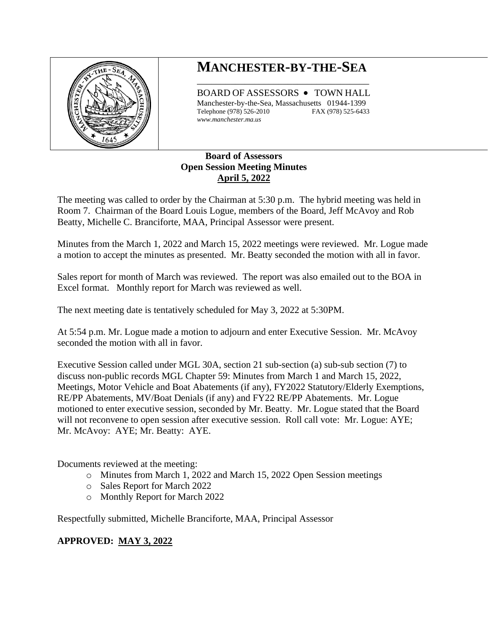

## **MANCHESTER-BY-THE-SEA** \_\_\_\_\_\_\_\_\_\_\_\_\_\_\_\_\_\_\_\_\_\_\_\_\_\_\_\_\_\_\_\_\_\_\_\_

BOARD OF ASSESSORS • TOWN HALL Manchester-by-the-Sea, Massachusetts 01944-1399 Telephone (978) 526-2010 FAX (978) 525-6433 *www.manchester.ma.us*

## **Board of Assessors Open Session Meeting Minutes April 5, 2022**

The meeting was called to order by the Chairman at 5:30 p.m. The hybrid meeting was held in Room 7. Chairman of the Board Louis Logue, members of the Board, Jeff McAvoy and Rob Beatty, Michelle C. Branciforte, MAA, Principal Assessor were present.

Minutes from the March 1, 2022 and March 15, 2022 meetings were reviewed. Mr. Logue made a motion to accept the minutes as presented. Mr. Beatty seconded the motion with all in favor.

Sales report for month of March was reviewed. The report was also emailed out to the BOA in Excel format. Monthly report for March was reviewed as well.

The next meeting date is tentatively scheduled for May 3, 2022 at 5:30PM.

At 5:54 p.m. Mr. Logue made a motion to adjourn and enter Executive Session. Mr. McAvoy seconded the motion with all in favor.

Executive Session called under MGL 30A, section 21 sub-section (a) sub-sub section (7) to discuss non-public records MGL Chapter 59: Minutes from March 1 and March 15, 2022, Meetings, Motor Vehicle and Boat Abatements (if any), FY2022 Statutory/Elderly Exemptions, RE/PP Abatements, MV/Boat Denials (if any) and FY22 RE/PP Abatements. Mr. Logue motioned to enter executive session, seconded by Mr. Beatty. Mr. Logue stated that the Board will not reconvene to open session after executive session. Roll call vote: Mr. Logue: AYE; Mr. McAvoy: AYE; Mr. Beatty: AYE.

Documents reviewed at the meeting:

- o Minutes from March 1, 2022 and March 15, 2022 Open Session meetings
- o Sales Report for March 2022
- o Monthly Report for March 2022

Respectfully submitted, Michelle Branciforte, MAA, Principal Assessor

## **APPROVED: MAY 3, 2022**